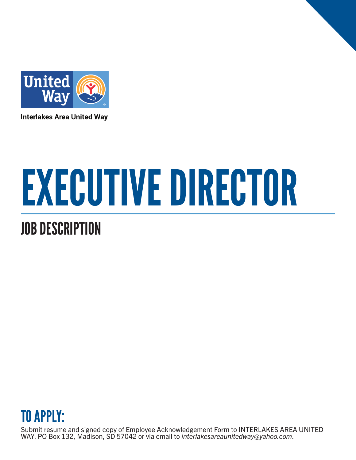

**Interlakes Area United Way** 

# EXECUTIVE DIRECTOR

## JOB DESCRIPTION



Submit resume and signed copy of Employee Acknowledgement Form to INTERLAKES AREA UNITED WAY, PO Box 132, Madison, SD 57042 or via email to *interlakesareaunitedway@yahoo.com*.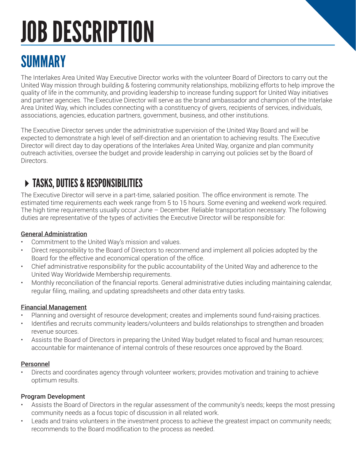## JOB DESCRIPTION

## SUMMARY

The Interlakes Area United Way Executive Director works with the volunteer Board of Directors to carry out the United Way mission through building & fostering community relationships, mobilizing efforts to help improve the quality of life in the community, and providing leadership to increase funding support for United Way initiatives and partner agencies. The Executive Director will serve as the brand ambassador and champion of the Interlake Area United Way, which includes connecting with a constituency of givers, recipients of services, individuals, associations, agencies, education partners, government, business, and other institutions.

The Executive Director serves under the administrative supervision of the United Way Board and will be expected to demonstrate a high level of self-direction and an orientation to achieving results. The Executive Director will direct day to day operations of the Interlakes Area United Way, organize and plan community outreach activities, oversee the budget and provide leadership in carrying out policies set by the Board of Directors.

## TASKS, DUTIES & RESPONSIBILITIES

The Executive Director will serve in a part-time, salaried position. The office environment is remote. The estimated time requirements each week range from 5 to 15 hours. Some evening and weekend work required. The high time requirements usually occur June – December. Reliable transportation necessary. The following duties are representative of the types of activities the Executive Director will be responsible for:

#### General Administration

- Commitment to the United Way's mission and values.
- Direct responsibility to the Board of Directors to recommend and implement all policies adopted by the Board for the effective and economical operation of the office.
- Chief administrative responsibility for the public accountability of the United Way and adherence to the United Way Worldwide Membership requirements.
- Monthly reconciliation of the financial reports. General administrative duties including maintaining calendar, regular filing, mailing, and updating spreadsheets and other data entry tasks.

#### Financial Management

- Planning and oversight of resource development; creates and implements sound fund-raising practices.
- Identifies and recruits community leaders/volunteers and builds relationships to strengthen and broaden revenue sources.
- Assists the Board of Directors in preparing the United Way budget related to fiscal and human resources; accountable for maintenance of internal controls of these resources once approved by the Board.

#### Personnel

• Directs and coordinates agency through volunteer workers; provides motivation and training to achieve optimum results.

#### Program Development

- Assists the Board of Directors in the regular assessment of the community's needs; keeps the most pressing community needs as a focus topic of discussion in all related work.
- Leads and trains volunteers in the investment process to achieve the greatest impact on community needs; recommends to the Board modification to the process as needed.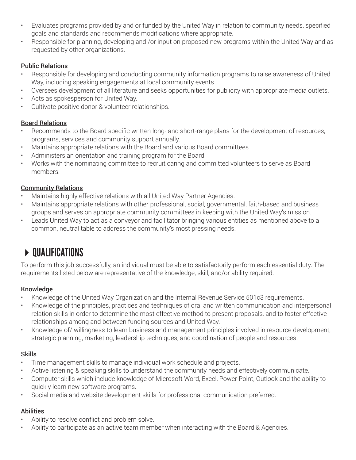- Evaluates programs provided by and or funded by the United Way in relation to community needs, specified goals and standards and recommends modifications where appropriate.
- Responsible for planning, developing and /or input on proposed new programs within the United Way and as requested by other organizations.

#### Public Relations

- Responsible for developing and conducting community information programs to raise awareness of United Way, including speaking engagements at local community events.
- Oversees development of all literature and seeks opportunities for publicity with appropriate media outlets.
- Acts as spokesperson for United Way.
- Cultivate positive donor & volunteer relationships.

#### Board Relations

- Recommends to the Board specific written long- and short-range plans for the development of resources, programs, services and community support annually.
- Maintains appropriate relations with the Board and various Board committees.
- Administers an orientation and training program for the Board.
- Works with the nominating committee to recruit caring and committed volunteers to serve as Board members.

#### Community Relations

- Maintains highly effective relations with all United Way Partner Agencies.
- Maintains appropriate relations with other professional, social, governmental, faith-based and business groups and serves on appropriate community committees in keeping with the United Way's mission.
- Leads United Way to act as a conveyor and facilitator bringing various entities as mentioned above to a common, neutral table to address the community's most pressing needs.

## $\triangleright$  QUALIFICATIONS

To perform this job successfully, an individual must be able to satisfactorily perform each essential duty. The requirements listed below are representative of the knowledge, skill, and/or ability required.

#### Knowledge

- Knowledge of the United Way Organization and the Internal Revenue Service 501c3 requirements.
- Knowledge of the principles, practices and techniques of oral and written communication and interpersonal relation skills in order to determine the most effective method to present proposals, and to foster effective relationships among and between funding sources and United Way.
- Knowledge of/ willingness to learn business and management principles involved in resource development, strategic planning, marketing, leadership techniques, and coordination of people and resources.

#### **Skills**

- Time management skills to manage individual work schedule and projects.
- Active listening & speaking skills to understand the community needs and effectively communicate.
- Computer skills which include knowledge of Microsoft Word, Excel, Power Point, Outlook and the ability to quickly learn new software programs.
- Social media and website development skills for professional communication preferred.

#### **Abilities**

- Ability to resolve conflict and problem solve.
- Ability to participate as an active team member when interacting with the Board & Agencies.